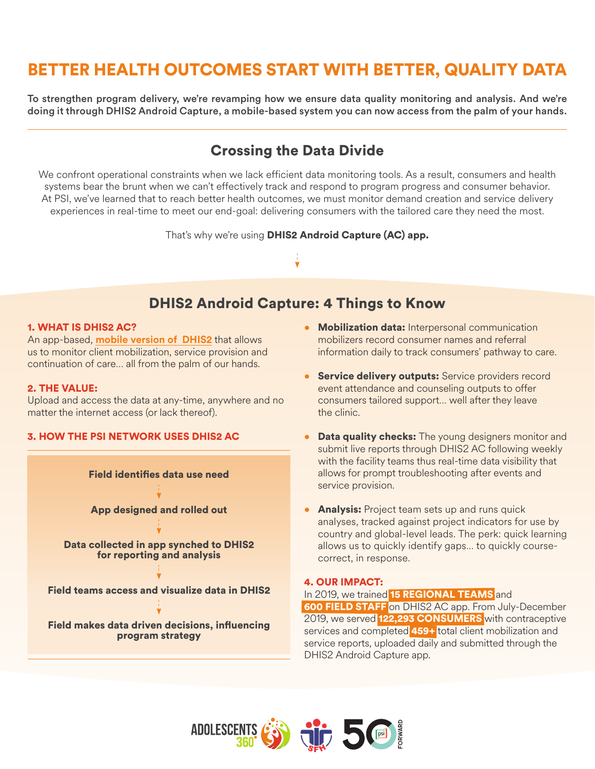# BETTER HEALTH OUTCOMES START WITH BETTER, QUALITY DATA

To strengthen program delivery, we're revamping how we ensure data quality monitoring and analysis. And we're doing it through DHIS2 Android Capture, a mobile-based system you can now access from the palm of your hands.

## Crossing the Data Divide

We confront operational constraints when we lack efficient data monitoring tools. As a result, consumers and health systems bear the brunt when we can't effectively track and respond to program progress and consumer behavior. At PSI, we've learned that to reach better health outcomes, we must monitor demand creation and service delivery experiences in real-time to meet our end-goal: delivering consumers with the tailored care they need the most.

That's why we're using **DHIS2 Android Capture (AC) app.** 

## DHIS2 Android Capture: 4 Things to Know

### 1. WHAT IS DHIS2 AC?

An app-based, **[mobile version of DHIS2](https://www.dhis2.org/android)** that allows us to monitor client mobilization, service provision and continuation of care… all from the palm of our hands.

## 2. THE VALUE:

Upload and access the data at any-time, anywhere and no matter the internet access (or lack thereof).

## 3. HOW THE PSI NETWORK USES DHIS2 AC



- Mobilization data: Interpersonal communication mobilizers record consumer names and referral information daily to track consumers' pathway to care.
- **Service delivery outputs:** Service providers record event attendance and counseling outputs to offer consumers tailored support… well after they leave the clinic.
- **Data quality checks:** The young designers monitor and submit live reports through DHIS2 AC following weekly with the facility teams thus real-time data visibility that allows for prompt troubleshooting after events and service provision.
- Analysis: Project team sets up and runs quick analyses, tracked against project indicators for use by country and global-level leads. The perk: quick learning allows us to quickly identify gaps… to quickly coursecorrect, in response.

## 4. OUR IMPACT:

## In 2019, we trained 15 REGIONAL TEAMS and

600 FIELD STAFF on DHIS2 AC app. From July-December 2019, we served 122,293 CONSUMERS with contraceptive services and completed 459+ total client mobilization and service reports, uploaded daily and submitted through the DHIS2 Android Capture app.